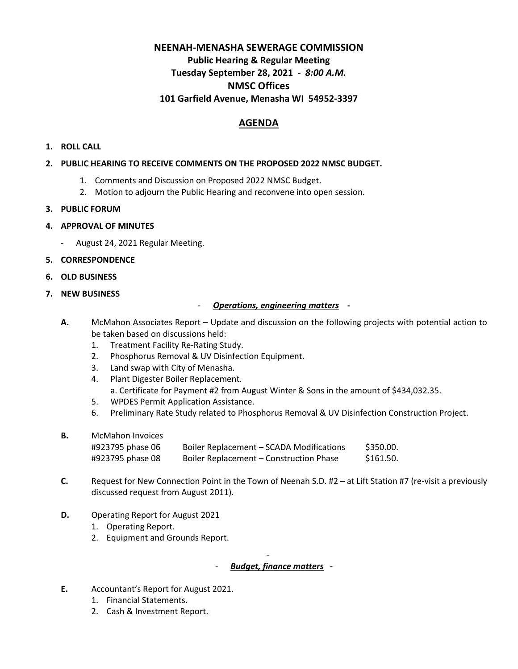# **NEENAH-MENASHA SEWERAGE COMMISSION Public Hearing & Regular Meeting Tuesday September 28, 2021 -** *8:00 A.M.* **NMSC Offices 101 Garfield Avenue, Menasha WI 54952-3397**

# **AGENDA**

### **1. ROLL CALL**

#### **2. PUBLIC HEARING TO RECEIVE COMMENTS ON THE PROPOSED 2022 NMSC BUDGET.**

- 1. Comments and Discussion on Proposed 2022 NMSC Budget.
- 2. Motion to adjourn the Public Hearing and reconvene into open session.
- **3. PUBLIC FORUM**
- **4. APPROVAL OF MINUTES** 
	- August 24, 2021 Regular Meeting.
- **5. CORRESPONDENCE**
- **6. OLD BUSINESS**
- **7. NEW BUSINESS**

### - *Operations, engineering matters* **-**

- **A.** McMahon Associates Report Update and discussion on the following projects with potential action to be taken based on discussions held:
	- 1. Treatment Facility Re-Rating Study.
	- 2. Phosphorus Removal & UV Disinfection Equipment.
	- 3. Land swap with City of Menasha.
	- 4. Plant Digester Boiler Replacement. a. Certificate for Payment #2 from August Winter & Sons in the amount of \$434,032.35.
	- 5. WPDES Permit Application Assistance.
	- 6. Preliminary Rate Study related to Phosphorus Removal & UV Disinfection Construction Project.
- **B.** McMahon Invoices

| #923795 phase 06 | Boiler Replacement – SCADA Modifications | \$350.00. |
|------------------|------------------------------------------|-----------|
| #923795 phase 08 | Boiler Replacement - Construction Phase  | \$161.50. |

- **C.** Request for New Connection Point in the Town of Neenah S.D. #2 at Lift Station #7 (re-visit a previously discussed request from August 2011).
- **D.** Operating Report for August 2021
	- 1. Operating Report.
	- 2. Equipment and Grounds Report.

## - *Budget, finance matters* **-**

-

- **E.** Accountant's Report for August 2021.
	- 1. Financial Statements.
	- 2. Cash & Investment Report.